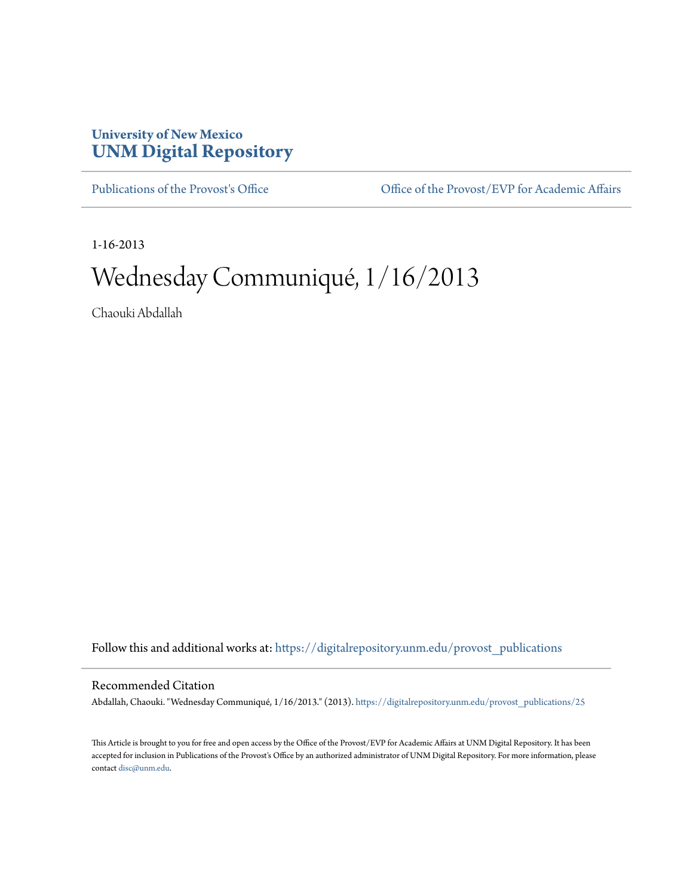## **University of New Mexico [UNM Digital Repository](https://digitalrepository.unm.edu?utm_source=digitalrepository.unm.edu%2Fprovost_publications%2F25&utm_medium=PDF&utm_campaign=PDFCoverPages)**

[Publications of the Provost's Office](https://digitalrepository.unm.edu/provost_publications?utm_source=digitalrepository.unm.edu%2Fprovost_publications%2F25&utm_medium=PDF&utm_campaign=PDFCoverPages) Office [Office of the Provost/EVP for Academic Affairs](https://digitalrepository.unm.edu/ofc_provost?utm_source=digitalrepository.unm.edu%2Fprovost_publications%2F25&utm_medium=PDF&utm_campaign=PDFCoverPages)

1-16-2013

## Wednesday Communiqué, 1/16/2013

Chaouki Abdallah

Follow this and additional works at: [https://digitalrepository.unm.edu/provost\\_publications](https://digitalrepository.unm.edu/provost_publications?utm_source=digitalrepository.unm.edu%2Fprovost_publications%2F25&utm_medium=PDF&utm_campaign=PDFCoverPages)

## Recommended Citation

Abdallah, Chaouki. "Wednesday Communiqué, 1/16/2013." (2013). [https://digitalrepository.unm.edu/provost\\_publications/25](https://digitalrepository.unm.edu/provost_publications/25?utm_source=digitalrepository.unm.edu%2Fprovost_publications%2F25&utm_medium=PDF&utm_campaign=PDFCoverPages)

This Article is brought to you for free and open access by the Office of the Provost/EVP for Academic Affairs at UNM Digital Repository. It has been accepted for inclusion in Publications of the Provost's Office by an authorized administrator of UNM Digital Repository. For more information, please contact [disc@unm.edu.](mailto:disc@unm.edu)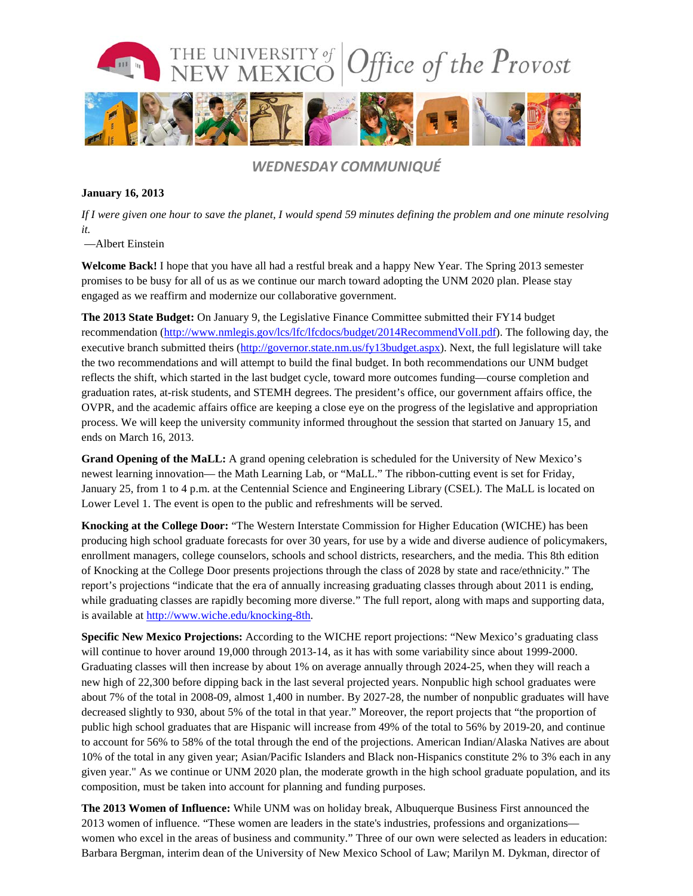

*WEDNESDAY COMMUNIQUÉ*

## **January 16, 2013**

*If I were given one hour to save the planet, I would spend 59 minutes defining the problem and one minute resolving it.*

—Albert Einstein

**Welcome Back!** I hope that you have all had a restful break and a happy New Year. The Spring 2013 semester promises to be busy for all of us as we continue our march toward adopting the UNM 2020 plan. Please stay engaged as we reaffirm and modernize our collaborative government.

**The 2013 State Budget:** On January 9, the Legislative Finance Committee submitted their FY14 budget recommendation [\(http://www.nmlegis.gov/lcs/lfc/lfcdocs/budget/2014RecommendVolI.pdf\)](http://www.nmlegis.gov/lcs/lfc/lfcdocs/budget/2014RecommendVolI.pdf). The following day, the executive branch submitted theirs [\(http://governor.state.nm.us/fy13budget.aspx\)](http://governor.state.nm.us/fy13budget.aspx). Next, the full legislature will take the two recommendations and will attempt to build the final budget. In both recommendations our UNM budget reflects the shift, which started in the last budget cycle, toward more outcomes funding—course completion and graduation rates, at-risk students, and STEMH degrees. The president's office, our government affairs office, the OVPR, and the academic affairs office are keeping a close eye on the progress of the legislative and appropriation process. We will keep the university community informed throughout the session that started on January 15, and ends on March 16, 2013.

**Grand Opening of the MaLL:** A grand opening celebration is scheduled for the University of New Mexico's newest learning innovation— the Math Learning Lab, or "MaLL." The ribbon-cutting event is set for Friday, January 25, from 1 to 4 p.m. at the Centennial Science and Engineering Library (CSEL). The MaLL is located on Lower Level 1. The event is open to the public and refreshments will be served.

**Knocking at the College Door:** "The Western Interstate Commission for Higher Education (WICHE) has been producing high school graduate forecasts for over 30 years, for use by a wide and diverse audience of policymakers, enrollment managers, college counselors, schools and school districts, researchers, and the media. This 8th edition of Knocking at the College Door presents projections through the class of 2028 by state and race/ethnicity." The report's projections "indicate that the era of annually increasing graduating classes through about 2011 is ending, while graduating classes are rapidly becoming more diverse." The full report, along with maps and supporting data, is available at [http://www.wiche.edu/knocking-8th.](http://www.wiche.edu/knocking-8th)

**Specific New Mexico Projections:** According to the WICHE report projections: "New Mexico's graduating class will continue to hover around 19,000 through 2013-14, as it has with some variability since about 1999-2000. Graduating classes will then increase by about 1% on average annually through 2024-25, when they will reach a new high of 22,300 before dipping back in the last several projected years. Nonpublic high school graduates were about 7% of the total in 2008-09, almost 1,400 in number. By 2027-28, the number of nonpublic graduates will have decreased slightly to 930, about 5% of the total in that year." Moreover, the report projects that "the proportion of public high school graduates that are Hispanic will increase from 49% of the total to 56% by 2019-20, and continue to account for 56% to 58% of the total through the end of the projections. American Indian/Alaska Natives are about 10% of the total in any given year; Asian/Pacific Islanders and Black non-Hispanics constitute 2% to 3% each in any given year." As we continue or UNM 2020 plan, the moderate growth in the high school graduate population, and its composition, must be taken into account for planning and funding purposes.

**The 2013 Women of Influence:** While UNM was on holiday break, Albuquerque Business First announced the 2013 women of influence. "These women are leaders in the state's industries, professions and organizations women who excel in the areas of business and community." Three of our own were selected as leaders in education: Barbara Bergman, interim dean of the University of New Mexico School of Law; Marilyn M. Dykman, director of